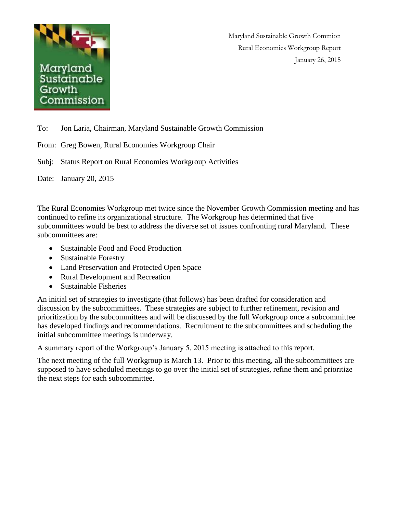

Maryland Sustainable Growth Commion Rural Economies Workgroup Report January 26, 2015

To: Jon Laria, Chairman, Maryland Sustainable Growth Commission

From: Greg Bowen, Rural Economies Workgroup Chair

Subj: Status Report on Rural Economies Workgroup Activities

Date: January 20, 2015

The Rural Economies Workgroup met twice since the November Growth Commission meeting and has continued to refine its organizational structure. The Workgroup has determined that five subcommittees would be best to address the diverse set of issues confronting rural Maryland. These subcommittees are:

- Sustainable Food and Food Production
- Sustainable Forestry
- Land Preservation and Protected Open Space
- Rural Development and Recreation
- Sustainable Fisheries

An initial set of strategies to investigate (that follows) has been drafted for consideration and discussion by the subcommittees. These strategies are subject to further refinement, revision and prioritization by the subcommittees and will be discussed by the full Workgroup once a subcommittee has developed findings and recommendations. Recruitment to the subcommittees and scheduling the initial subcommittee meetings is underway.

A summary report of the Workgroup's January 5, 2015 meeting is attached to this report.

The next meeting of the full Workgroup is March 13. Prior to this meeting, all the subcommittees are supposed to have scheduled meetings to go over the initial set of strategies, refine them and prioritize the next steps for each subcommittee.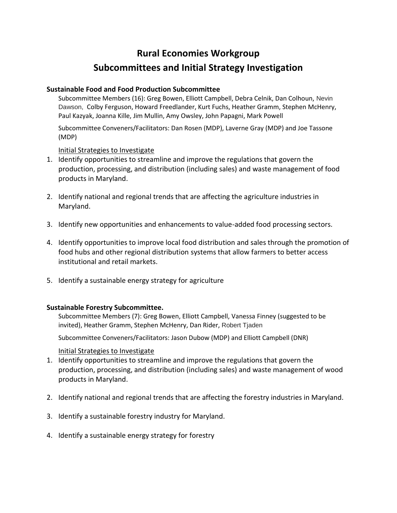# **Rural Economies Workgroup**

# **Subcommittees and Initial Strategy Investigation**

### **Sustainable Food and Food Production Subcommittee**

Subcommittee Members (16): Greg Bowen, Elliott Campbell, Debra Celnik, Dan Colhoun, Nevin Dawson, Colby Ferguson, Howard Freedlander, Kurt Fuchs, Heather Gramm, Stephen McHenry, Paul Kazyak, Joanna Kille, Jim Mullin, Amy Owsley, John Papagni, Mark Powell

Subcommittee Conveners/Facilitators: Dan Rosen (MDP), Laverne Gray (MDP) and Joe Tassone (MDP)

Initial Strategies to Investigate

- 1. Identify opportunities to streamline and improve the regulations that govern the production, processing, and distribution (including sales) and waste management of food products in Maryland.
- 2. Identify national and regional trends that are affecting the agriculture industries in Maryland.
- 3. Identify new opportunities and enhancements to value-added food processing sectors.
- 4. Identify opportunities to improve local food distribution and sales through the promotion of food hubs and other regional distribution systems that allow farmers to better access institutional and retail markets.
- 5. Identify a sustainable energy strategy for agriculture

### **Sustainable Forestry Subcommittee.**

Subcommittee Members (7): Greg Bowen, Elliott Campbell, Vanessa Finney (suggested to be invited), Heather Gramm, Stephen McHenry, Dan Rider, Robert Tjaden

Subcommittee Conveners/Facilitators: Jason Dubow (MDP) and Elliott Campbell (DNR)

#### Initial Strategies to Investigate

- 1. Identify opportunities to streamline and improve the regulations that govern the production, processing, and distribution (including sales) and waste management of wood products in Maryland.
- 2. Identify national and regional trends that are affecting the forestry industries in Maryland.
- 3. Identify a sustainable forestry industry for Maryland.
- 4. Identify a sustainable energy strategy for forestry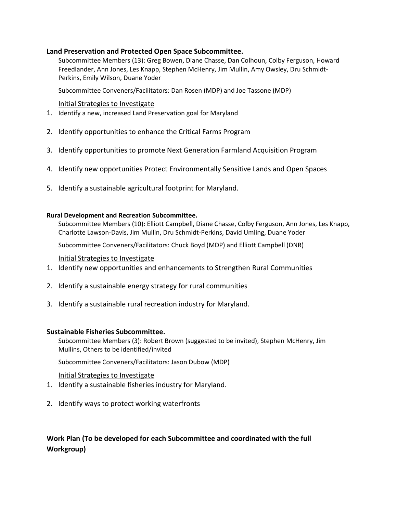#### **Land Preservation and Protected Open Space Subcommittee.**

Subcommittee Members (13): Greg Bowen, Diane Chasse, Dan Colhoun, Colby Ferguson, Howard Freedlander, Ann Jones, Les Knapp, Stephen McHenry, Jim Mullin, Amy Owsley, Dru Schmidt-Perkins, Emily Wilson, Duane Yoder

Subcommittee Conveners/Facilitators: Dan Rosen (MDP) and Joe Tassone (MDP)

#### Initial Strategies to Investigate

- 1. Identify a new, increased Land Preservation goal for Maryland
- 2. Identify opportunities to enhance the Critical Farms Program
- 3. Identify opportunities to promote Next Generation Farmland Acquisition Program
- 4. Identify new opportunities Protect Environmentally Sensitive Lands and Open Spaces
- 5. Identify a sustainable agricultural footprint for Maryland.

#### **Rural Development and Recreation Subcommittee.**

Subcommittee Members (10): Elliott Campbell, Diane Chasse, Colby Ferguson, Ann Jones, Les Knapp, Charlotte Lawson-Davis, Jim Mullin, Dru Schmidt-Perkins, David Umling, Duane Yoder

Subcommittee Conveners/Facilitators: Chuck Boyd (MDP) and Elliott Campbell (DNR)

#### Initial Strategies to Investigate

- 1. Identify new opportunities and enhancements to Strengthen Rural Communities
- 2. Identify a sustainable energy strategy for rural communities
- 3. Identify a sustainable rural recreation industry for Maryland.

#### **Sustainable Fisheries Subcommittee.**

Subcommittee Members (3): Robert Brown (suggested to be invited), Stephen McHenry, Jim Mullins, Others to be identified/invited

Subcommittee Conveners/Facilitators: Jason Dubow (MDP)

Initial Strategies to Investigate

- 1. Identify a sustainable fisheries industry for Maryland.
- 2. Identify ways to protect working waterfronts

## **Work Plan (To be developed for each Subcommittee and coordinated with the full Workgroup)**